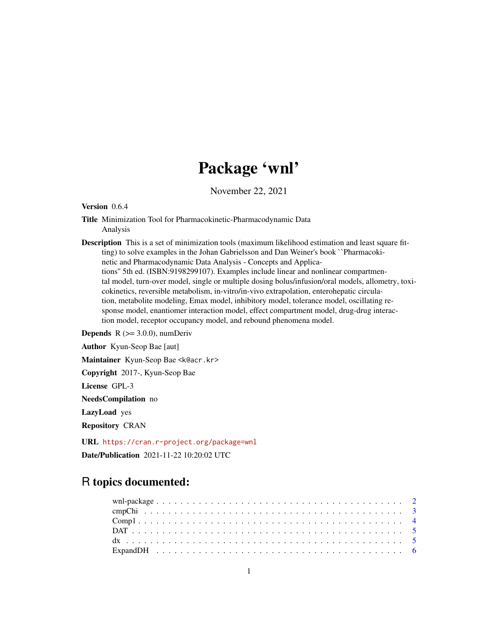# Package 'wnl'

November 22, 2021

Version 0.6.4

Title Minimization Tool for Pharmacokinetic-Pharmacodynamic Data Analysis

Description This is a set of minimization tools (maximum likelihood estimation and least square fitting) to solve examples in the Johan Gabrielsson and Dan Weiner's book ``Pharmacokinetic and Pharmacodynamic Data Analysis - Concepts and Applications'' 5th ed. (ISBN:9198299107). Examples include linear and nonlinear compartmental model, turn-over model, single or multiple dosing bolus/infusion/oral models, allometry, toxicokinetics, reversible metabolism, in-vitro/in-vivo extrapolation, enterohepatic circulation, metabolite modeling, Emax model, inhibitory model, tolerance model, oscillating response model, enantiomer interaction model, effect compartment model, drug-drug interaction model, receptor occupancy model, and rebound phenomena model.

**Depends**  $R$  ( $>= 3.0.0$ ), numDeriv

Author Kyun-Seop Bae [aut]

Maintainer Kyun-Seop Bae <k@acr.kr>

Copyright 2017-, Kyun-Seop Bae

License GPL-3

NeedsCompilation no

LazyLoad yes

Repository CRAN

URL <https://cran.r-project.org/package=wnl> Date/Publication 2021-11-22 10:20:02 UTC

# R topics documented: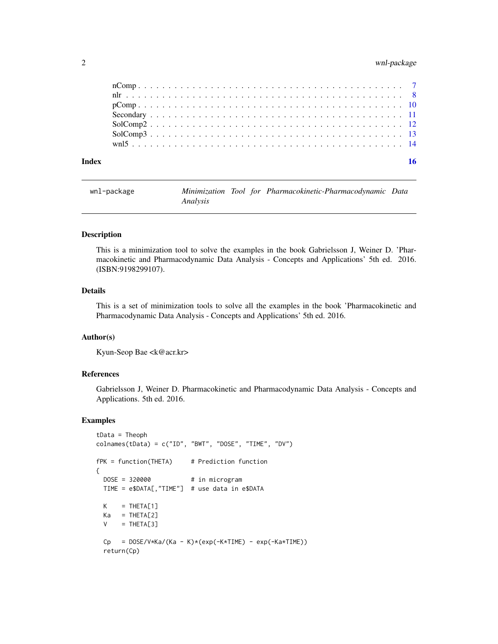#### <span id="page-1-0"></span>2 wnl-package

| Index |                                          |  |  |  |  |  |  |  |  |  |  |  |  |  |  |  |  |  |  |  | 16 |
|-------|------------------------------------------|--|--|--|--|--|--|--|--|--|--|--|--|--|--|--|--|--|--|--|----|
|       |                                          |  |  |  |  |  |  |  |  |  |  |  |  |  |  |  |  |  |  |  |    |
|       | $SolComp3 \n \n \n \n \n \n \n \n \n \n$ |  |  |  |  |  |  |  |  |  |  |  |  |  |  |  |  |  |  |  |    |
|       |                                          |  |  |  |  |  |  |  |  |  |  |  |  |  |  |  |  |  |  |  |    |
|       |                                          |  |  |  |  |  |  |  |  |  |  |  |  |  |  |  |  |  |  |  |    |
|       |                                          |  |  |  |  |  |  |  |  |  |  |  |  |  |  |  |  |  |  |  |    |
|       |                                          |  |  |  |  |  |  |  |  |  |  |  |  |  |  |  |  |  |  |  |    |
|       |                                          |  |  |  |  |  |  |  |  |  |  |  |  |  |  |  |  |  |  |  |    |

| wnl-package |          |  | Minimization Tool for Pharmacokinetic-Pharmacodynamic Data |  |
|-------------|----------|--|------------------------------------------------------------|--|
|             | Analysis |  |                                                            |  |

#### Description

This is a minimization tool to solve the examples in the book Gabrielsson J, Weiner D. 'Pharmacokinetic and Pharmacodynamic Data Analysis - Concepts and Applications' 5th ed. 2016. (ISBN:9198299107).

# Details

This is a set of minimization tools to solve all the examples in the book 'Pharmacokinetic and Pharmacodynamic Data Analysis - Concepts and Applications' 5th ed. 2016.

#### Author(s)

Kyun-Seop Bae <k@acr.kr>

#### References

Gabrielsson J, Weiner D. Pharmacokinetic and Pharmacodynamic Data Analysis - Concepts and Applications. 5th ed. 2016.

```
tData = Theoph
collnames(tData) = c("ID", "BWT", "DOSE", "TIME", "DV")fPK = function(THETA) # Prediction function
{
 DOSE = 320000 # in microgram
 TIME = e$DATA[,"TIME"] # use data in e$DATA
 K = THETA[1]Ka = THETA[2]V = THETA[3]Cp = DOS/V*Ka/(Ka - K)*(exp(-K*TIME) - exp(-Ka*TIME))return(Cp)
```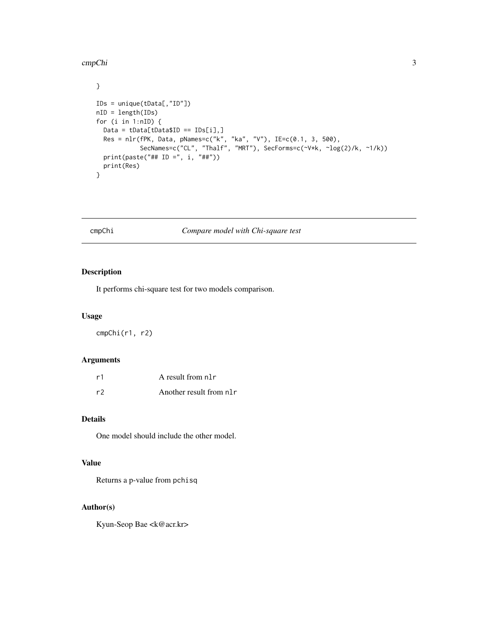#### <span id="page-2-0"></span>cmpChi 3

}

```
IDs = unique(tData[,"ID"])
nID = length(IDs)
for (i in 1:nID) {
 Data = tData[tData$ID == IDs[i],]
 Res = nlr(fPK, Data, pNames=c("k", "ka", "V"), IE=c(0.1, 3, 500),
            SecNames=c("CL", "Thalf", "MRT"), SecForms=c(~V*k, ~log(2)/k, ~1/k))
  print(paste("## ID =", i, "##"))
  print(Res)
}
```
# cmpChi *Compare model with Chi-square test*

#### Description

It performs chi-square test for two models comparison.

#### Usage

cmpChi(r1, r2)

#### Arguments

| r1 | A result from n1r        |
|----|--------------------------|
| r2 | Another result from nl r |

#### Details

One model should include the other model.

#### Value

Returns a p-value from pchisq

#### Author(s)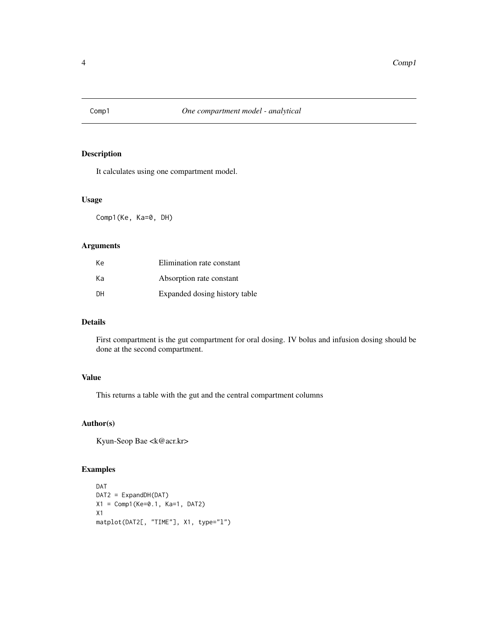<span id="page-3-0"></span>

It calculates using one compartment model.

#### Usage

Comp1(Ke, Ka=0, DH)

#### Arguments

| Кe        | Elimination rate constant     |
|-----------|-------------------------------|
| Kа        | Absorption rate constant      |
| <b>DH</b> | Expanded dosing history table |

# Details

First compartment is the gut compartment for oral dosing. IV bolus and infusion dosing should be done at the second compartment.

#### Value

This returns a table with the gut and the central compartment columns

#### Author(s)

Kyun-Seop Bae <k@acr.kr>

```
DAT
DAT2 = ExpandDH(DAT)
X1 = \text{Comp1}(Ke=0.1, Ka=1, DAT2)X1
matplot(DAT2[, "TIME"], X1, type="l")
```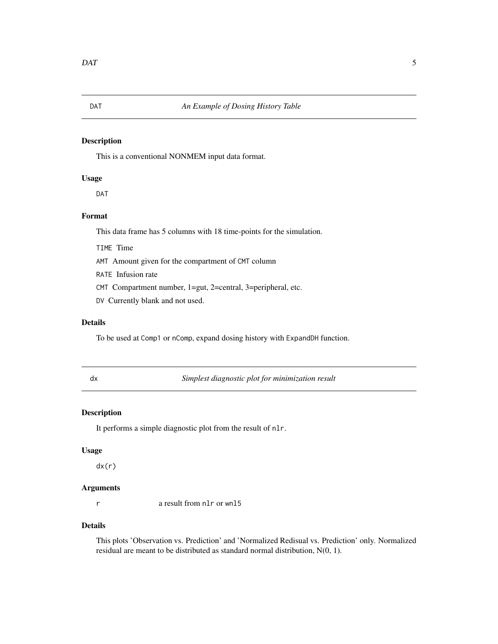<span id="page-4-0"></span>This is a conventional NONMEM input data format.

#### Usage

DAT

#### Format

This data frame has 5 columns with 18 time-points for the simulation.

TIME Time

AMT Amount given for the compartment of CMT column

RATE Infusion rate

CMT Compartment number, 1=gut, 2=central, 3=peripheral, etc.

DV Currently blank and not used.

#### Details

To be used at Comp1 or nComp, expand dosing history with ExpandDH function.

| ×      | I |
|--------|---|
| $\sim$ |   |

Simplest diagnostic plot for minimization result

### Description

It performs a simple diagnostic plot from the result of nlr.

#### Usage

dx(r)

#### Arguments

r a result from nlr or wnl5

#### Details

This plots 'Observation vs. Prediction' and 'Normalized Redisual vs. Prediction' only. Normalized residual are meant to be distributed as standard normal distribution, N(0, 1).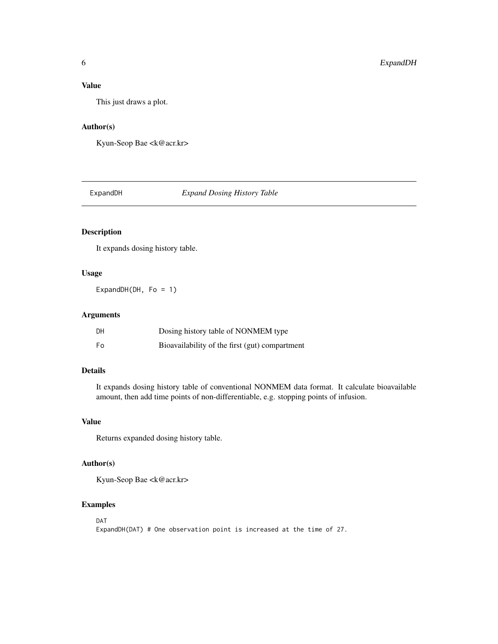# <span id="page-5-0"></span>Value

This just draws a plot.

#### Author(s)

Kyun-Seop Bae <k@acr.kr>

ExpandDH *Expand Dosing History Table*

### Description

It expands dosing history table.

# Usage

ExpandDH(DH, Fo =  $1$ )

# Arguments

| DН | Dosing history table of NONMEM type            |
|----|------------------------------------------------|
| Fo | Bioavailability of the first (gut) compartment |

#### Details

It expands dosing history table of conventional NONMEM data format. It calculate bioavailable amount, then add time points of non-differentiable, e.g. stopping points of infusion.

### Value

Returns expanded dosing history table.

#### Author(s)

Kyun-Seop Bae <k@acr.kr>

#### Examples

DAT

ExpandDH(DAT) # One observation point is increased at the time of 27.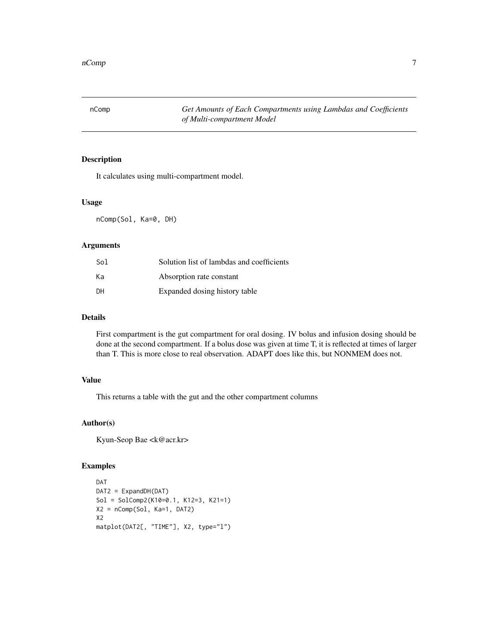<span id="page-6-0"></span>nComp *Get Amounts of Each Compartments using Lambdas and Coefficients of Multi-compartment Model*

# Description

It calculates using multi-compartment model.

#### Usage

nComp(Sol, Ka=0, DH)

#### Arguments

| Sol       | Solution list of lambdas and coefficients |
|-----------|-------------------------------------------|
| Kа        | Absorption rate constant                  |
| <b>DH</b> | Expanded dosing history table             |

#### Details

First compartment is the gut compartment for oral dosing. IV bolus and infusion dosing should be done at the second compartment. If a bolus dose was given at time T, it is reflected at times of larger than T. This is more close to real observation. ADAPT does like this, but NONMEM does not.

#### Value

This returns a table with the gut and the other compartment columns

#### Author(s)

Kyun-Seop Bae <k@acr.kr>

```
DAT
DAT2 = ExpandDH(DAT)
Sol = SolComp2(K10=0.1, K12=3, K21=1)
X2 = nComp(Sol, Ka=1, DAT2)
X2
matplot(DAT2[, "TIME"], X2, type="l")
```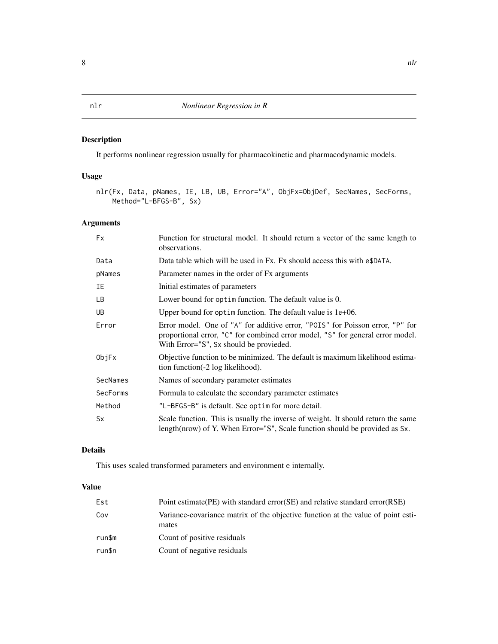<span id="page-7-0"></span>It performs nonlinear regression usually for pharmacokinetic and pharmacodynamic models.

#### Usage

```
nlr(Fx, Data, pNames, IE, LB, UB, Error="A", ObjFx=ObjDef, SecNames, SecForms,
   Method="L-BFGS-B", Sx)
```
#### Arguments

| <b>Fx</b> | Function for structural model. It should return a vector of the same length to<br>observations.                                                                                                            |
|-----------|------------------------------------------------------------------------------------------------------------------------------------------------------------------------------------------------------------|
| Data      | Data table which will be used in Fx. Fx should access this with e\$DATA.                                                                                                                                   |
| pNames    | Parameter names in the order of Fx arguments                                                                                                                                                               |
| IΕ        | Initial estimates of parameters                                                                                                                                                                            |
| LB.       | Lower bound for optim function. The default value is 0.                                                                                                                                                    |
| UB.       | Upper bound for optim function. The default value is $1e+06$ .                                                                                                                                             |
| Error     | Error model. One of "A" for additive error, "POIS" for Poisson error, "P" for<br>proportional error, "C" for combined error model, "S" for general error model.<br>With Error="S", Sx should be provieded. |
| ObjFx     | Objective function to be minimized. The default is maximum likelihood estima-<br>tion function(-2 log likelihood).                                                                                         |
| SecNames  | Names of secondary parameter estimates                                                                                                                                                                     |
| SecForms  | Formula to calculate the secondary parameter estimates                                                                                                                                                     |
| Method    | "L-BFGS-B" is default. See optim for more detail.                                                                                                                                                          |
| <b>Sx</b> | Scale function. This is usually the inverse of weight. It should return the same<br>length(nrow) of Y. When Error="S", Scale function should be provided as Sx.                                            |

# Details

This uses scaled transformed parameters and environment e internally.

#### Value

| Est    | Point estimate (PE) with standard error (SE) and relative standard error (RSE)            |
|--------|-------------------------------------------------------------------------------------------|
| Cov    | Variance-covariance matrix of the objective function at the value of point esti-<br>mates |
| run\$m | Count of positive residuals                                                               |
| run\$n | Count of negative residuals                                                               |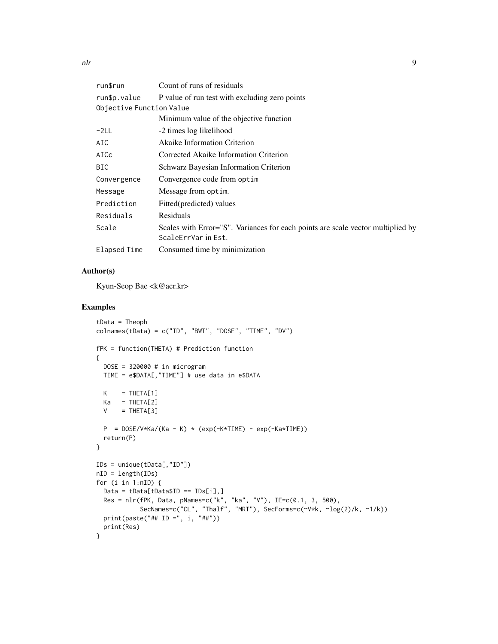| run\$run                 | Count of runs of residuals                                                                             |
|--------------------------|--------------------------------------------------------------------------------------------------------|
| run\$p.value             | P value of run test with excluding zero points                                                         |
| Objective Function Value |                                                                                                        |
|                          | Minimum value of the objective function                                                                |
| $-2LL$                   | -2 times log likelihood                                                                                |
| AIC                      | <b>Akaike Information Criterion</b>                                                                    |
| AICc                     | Corrected Akaike Information Criterion                                                                 |
| BIC                      | Schwarz Bayesian Information Criterion                                                                 |
| Convergence              | Convergence code from optim                                                                            |
| Message                  | Message from optim.                                                                                    |
| Prediction               | Fitted(predicted) values                                                                               |
| Residuals                | Residuals                                                                                              |
| Scale                    | Scales with Error="S". Variances for each points are scale vector multiplied by<br>ScaleErrVar in Est. |
| Elapsed Time             | Consumed time by minimization                                                                          |

# Author(s)

Kyun-Seop Bae <k@acr.kr>

```
tData = Theoph
colnames(tData) = c("ID", "BWT", "DOSE", "TIME", "DV")
fPK = function(THETA) # Prediction function
{
 DOSE = 320000 # in microgram
 TIME = e$DATA[,"TIME"] # use data in e$DATA
 K = THETA[1]Ka = THETA[2]V = THETA[3]P = DOS/V*Ka/(Ka - K) * (exp(-K*TIME) - exp(-Ka*TIME))return(P)
}
IDs = unique(tData[,"ID"])
nID = length(IDs)
for (i in 1:nID) {
 Data = tData[tData$ID == IDs[i],]
 Res = nlr(fPK, Data, pNames=c("k", "ka", "V"), IE=c(0.1, 3, 500),
           SecNames=c("CL", "Thalf", "MRT"), SecForms=c(~V*k, ~log(2)/k, ~1/k))
 print(paste("## ID =", i, "##"))
 print(Res)
}
```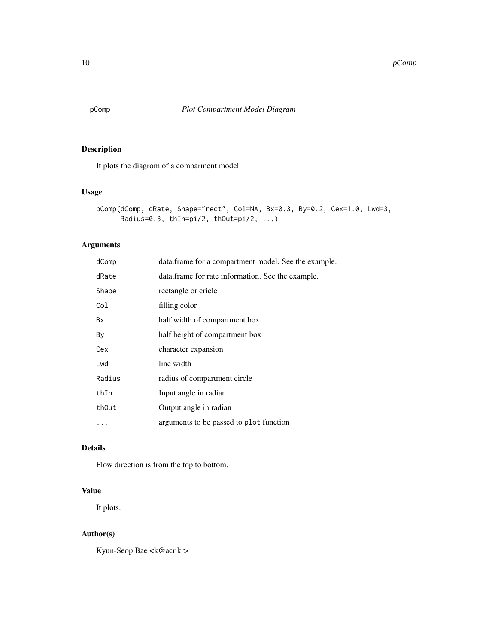<span id="page-9-0"></span>

It plots the diagrom of a comparment model.

#### Usage

```
pComp(dComp, dRate, Shape="rect", Col=NA, Bx=0.3, By=0.2, Cex=1.0, Lwd=3,
     Radius=0.3, thIn=pi/2, thOut=pi/2, ...)
```
### Arguments

| dComp  | data.frame for a compartment model. See the example. |
|--------|------------------------------------------------------|
| dRate  | data.frame for rate information. See the example.    |
| Shape  | rectangle or cricle                                  |
| Col    | filling color                                        |
| Bx     | half width of compartment box                        |
| Βy     | half height of compartment box                       |
| Cex    | character expansion                                  |
| Lwd    | line width                                           |
| Radius | radius of compartment circle                         |
| thIn   | Input angle in radian                                |
| thOut  | Output angle in radian                               |
|        | arguments to be passed to plot function              |
|        |                                                      |

# Details

Flow direction is from the top to bottom.

#### Value

It plots.

# Author(s)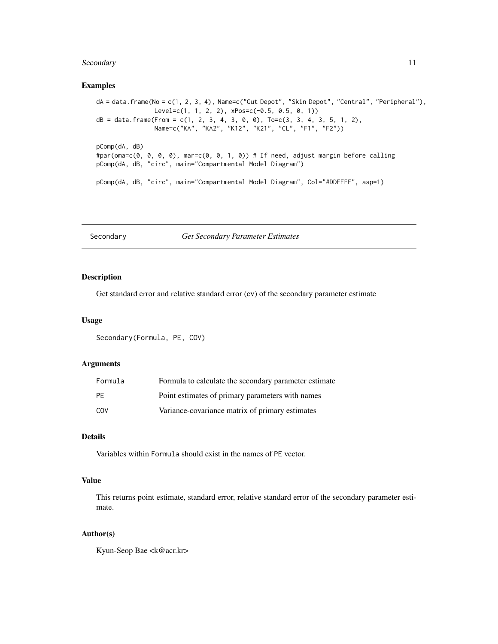#### <span id="page-10-0"></span>Secondary 11

#### Examples

```
dA = data.frame(No = c(1, 2, 3, 4), Name=c("Gut Depot", "Skin Depot", "Central", "Peripheral"),
                Level=c(1, 1, 2, 2), xPos=c(-0.5, 0.5, 0, 1))
dB = data . frame (From = c(1, 2, 3, 4, 3, 0, 0), To = c(3, 3, 4, 3, 5, 1, 2),Name=c("KA", "KA2", "K12", "K21", "CL", "F1", "F2"))
pComp(dA, dB)
#par(oma=c(0, 0, 0, 0), mar=c(0, 0, 1, 0)) # If need, adjust margin before calling
pComp(dA, dB, "circ", main="Compartmental Model Diagram")
pComp(dA, dB, "circ", main="Compartmental Model Diagram", Col="#DDEEFF", asp=1)
```
Secondary *Get Secondary Parameter Estimates*

#### Description

Get standard error and relative standard error (cv) of the secondary parameter estimate

#### Usage

Secondary(Formula, PE, COV)

#### Arguments

| Formula   | Formula to calculate the secondary parameter estimate |
|-----------|-------------------------------------------------------|
| <b>PF</b> | Point estimates of primary parameters with names      |
| COV       | Variance-covariance matrix of primary estimates       |

#### Details

Variables within Formula should exist in the names of PE vector.

### Value

This returns point estimate, standard error, relative standard error of the secondary parameter estimate.

#### Author(s)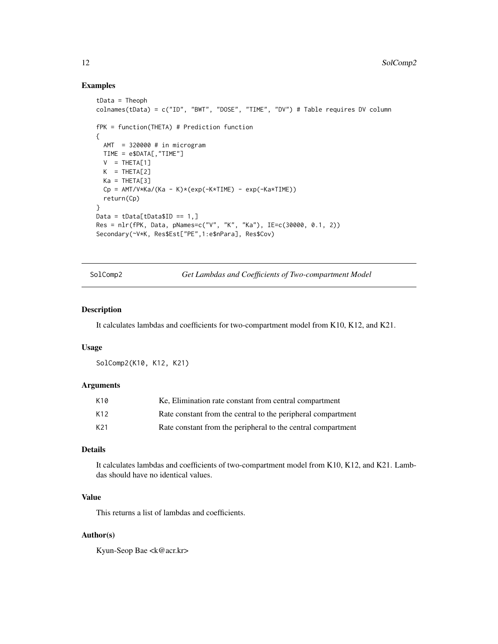#### Examples

```
tData = Theoph
colnames(tData) = c("ID", "BWT", "DOSE", "TIME", "DV") # Table requires DV column
fPK = function(THETA) # Prediction function
{
  AMT = 320000 # in microgramTIME = e$DATA[,"TIME"]
  V = THETA[1]K = THETA[2]Ka = THETAT31Cp = AMT/V*Ka/(Ka - K)*(exp(-K*TIME) - exp(-Ka*TIME))return(Cp)
}
Data = tData[tData$ID == 1, ]Res = nlr(fPK, Data, pNames=c("V", "K", "Ka"), IE=c(30000, 0.1, 2))
Secondary(~V*K, Res$Est["PE",1:e$nPara], Res$Cov)
```
SolComp2 *Get Lambdas and Coefficients of Two-compartment Model*

#### Description

It calculates lambdas and coefficients for two-compartment model from K10, K12, and K21.

#### Usage

SolComp2(K10, K12, K21)

#### Arguments

| K10 | Ke, Elimination rate constant from central compartment       |
|-----|--------------------------------------------------------------|
| K12 | Rate constant from the central to the peripheral compartment |
| K21 | Rate constant from the peripheral to the central compartment |

### Details

It calculates lambdas and coefficients of two-compartment model from K10, K12, and K21. Lambdas should have no identical values.

# Value

This returns a list of lambdas and coefficients.

#### Author(s)

<span id="page-11-0"></span>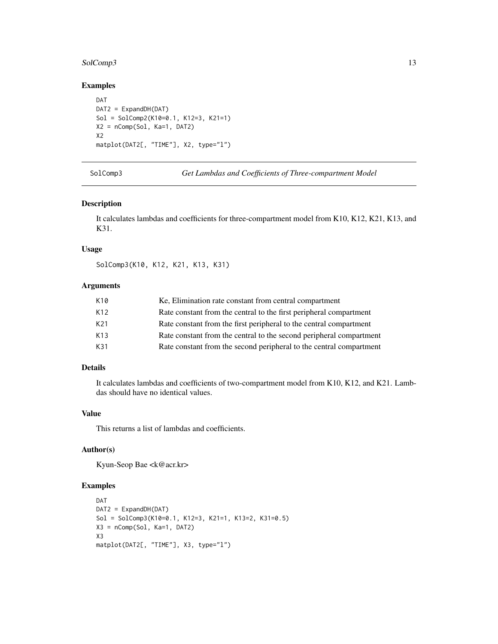#### <span id="page-12-0"></span>SolComp3 13

### Examples

```
DAT
DAT2 = ExpandDH(DAT)
Sol = SolComp2(K10=0.1, K12=3, K21=1)
X2 = nComp(Sol, Ka=1, DAT2)X2
matplot(DAT2[, "TIME"], X2, type="l")
```
SolComp3 *Get Lambdas and Coefficients of Three-compartment Model*

#### Description

It calculates lambdas and coefficients for three-compartment model from K10, K12, K21, K13, and K31.

#### Usage

SolComp3(K10, K12, K21, K13, K31)

#### Arguments

| K10  | Ke, Elimination rate constant from central compartment              |
|------|---------------------------------------------------------------------|
| K12. | Rate constant from the central to the first peripheral compartment  |
| K21  | Rate constant from the first peripheral to the central compartment  |
| K13  | Rate constant from the central to the second peripheral compartment |
| K31  | Rate constant from the second peripheral to the central compartment |

#### Details

It calculates lambdas and coefficients of two-compartment model from K10, K12, and K21. Lambdas should have no identical values.

#### Value

This returns a list of lambdas and coefficients.

# Author(s)

Kyun-Seop Bae <k@acr.kr>

```
DAT
DAT2 = ExpandDH(DAT)
Sol = SolComp3(K10=0.1, K12=3, K21=1, K13=2, K31=0.5)
X3 = nComp(Sol, Ka=1, DAT2)
X3
matplot(DAT2[, "TIME"], X3, type="l")
```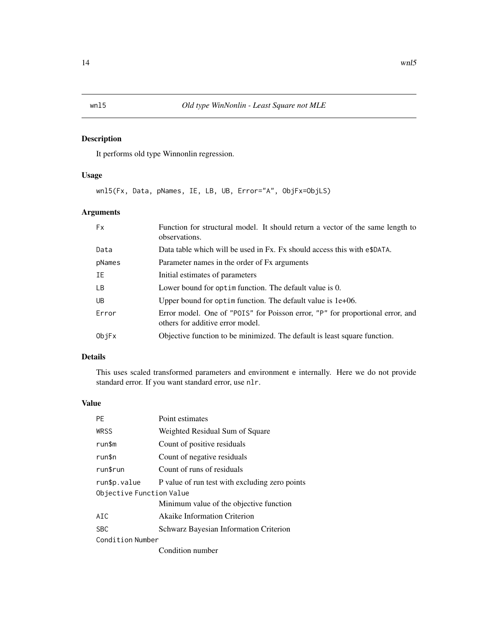<span id="page-13-0"></span>It performs old type Winnonlin regression.

### Usage

wnl5(Fx, Data, pNames, IE, LB, UB, Error="A", ObjFx=ObjLS)

# Arguments

| <b>Fx</b> | Function for structural model. It should return a vector of the same length to<br>observations.                   |
|-----------|-------------------------------------------------------------------------------------------------------------------|
| Data      | Data table which will be used in Fx. Fx should access this with e\$DATA.                                          |
| pNames    | Parameter names in the order of Fx arguments                                                                      |
| IΕ        | Initial estimates of parameters                                                                                   |
| LB.       | Lower bound for optime function. The default value is 0.                                                          |
| UB.       | Upper bound for optim function. The default value is $1e+06$ .                                                    |
| Error     | Error model. One of "POIS" for Poisson error, "P" for proportional error, and<br>others for additive error model. |
| ObjFx     | Objective function to be minimized. The default is least square function.                                         |
|           |                                                                                                                   |

#### Details

This uses scaled transformed parameters and environment e internally. Here we do not provide standard error. If you want standard error, use nlr.

#### Value

| <b>PF</b>                | Point estimates                                |  |
|--------------------------|------------------------------------------------|--|
| <b>WRSS</b>              | Weighted Residual Sum of Square                |  |
| run\$m                   | Count of positive residuals                    |  |
| run\$n                   | Count of negative residuals                    |  |
| run\$run                 | Count of runs of residuals                     |  |
| run\$p.value             | P value of run test with excluding zero points |  |
| Objective Function Value |                                                |  |
|                          | Minimum value of the objective function        |  |
| AIC                      | <b>Akaike Information Criterion</b>            |  |
| <b>SBC</b>               | <b>Schwarz Bayesian Information Criterion</b>  |  |
| Condition Number         |                                                |  |
|                          | Condition number                               |  |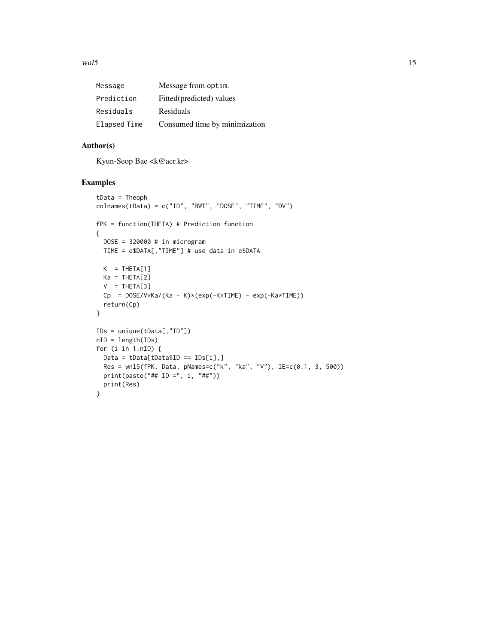$\mu$  m/s  $\mu$  m/s  $\mu$  m/s  $\mu$  m/s  $\mu$  m/s  $\mu$  m/s  $\mu$  m/s  $\mu$  m/s  $\mu$  m/s  $\mu$  m/s  $\mu$  m/s  $\mu$  m/s  $\mu$  m/s  $\mu$  m/s  $\mu$  m/s  $\mu$  m/s  $\mu$  m/s  $\mu$  m/s  $\mu$  m/s  $\mu$  m/s  $\mu$  m/s  $\mu$  m/s  $\mu$  m/s  $\mu$  m/s  $\mu$ 

| Message      | Message from optim.           |
|--------------|-------------------------------|
| Prediction   | Fitted(predicted) values      |
| Residuals    | Residuals                     |
| Elapsed Time | Consumed time by minimization |

#### Author(s)

Kyun-Seop Bae <k@acr.kr>

```
tData = Theoph
colnames(tData) = c("ID", "BWT", "DOSE", "TIME", "DV")
fPK = function(THETA) # Prediction function
{
 DOSE = 320000 # in microgram
 TIME = e$DATA[,"TIME"] # use data in e$DATA
 K = THETA[1]Ka = THETA[2]V = THETA[3]Cp = DOS/V*Ka/(Ka - K)*(exp(-K*TIME) - exp(-Ka*TIME))return(Cp)
}
IDs = unique(tData[,"ID"])
nID = length(IDs)
for (i in 1:nID) {
 Data = tData[tData$ID == IDs[i],]
 Res = wnl5(fPK, Data, pNames=c("k", "ka", "V"), IE=c(0.1, 3, 500))
 print(paste("## ID =", i, "##"))
 print(Res)
}
```